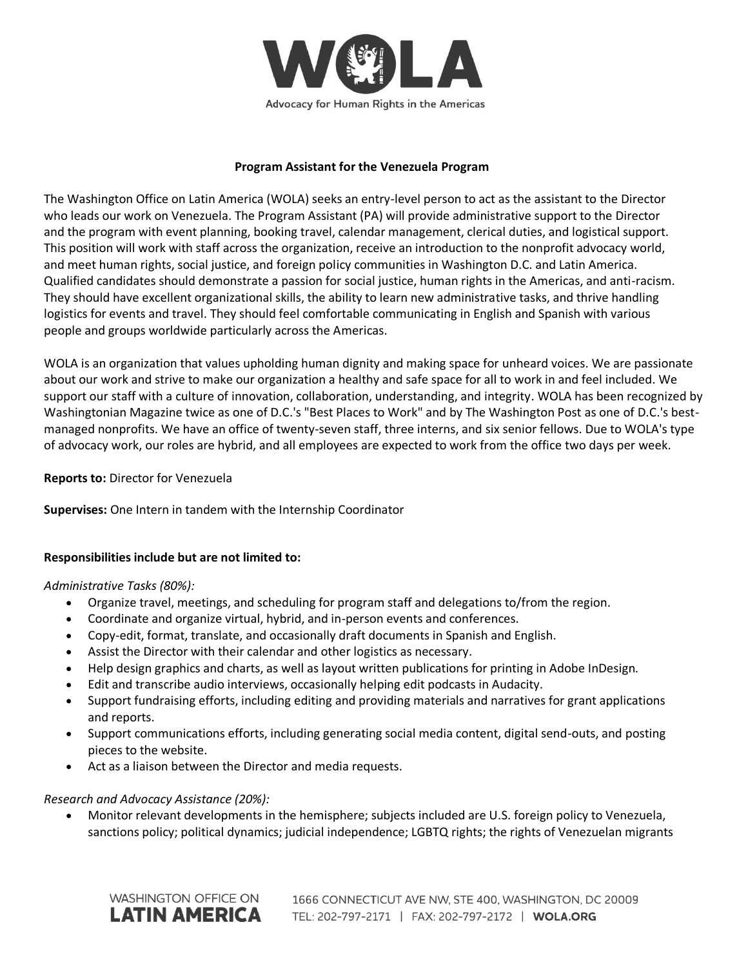

### **Program Assistant for the Venezuela Program**

The Washington Office on Latin America (WOLA) seeks an entry-level person to act as the assistant to the Director who leads our work on Venezuela. The Program Assistant (PA) will provide administrative support to the Director and the program with event planning, booking travel, calendar management, clerical duties, and logistical support. This position will work with staff across the organization, receive an introduction to the nonprofit advocacy world, and meet human rights, social justice, and foreign policy communities in Washington D.C. and Latin America. Qualified candidates should demonstrate a passion for social justice, human rights in the Americas, and anti-racism. They should have excellent organizational skills, the ability to learn new administrative tasks, and thrive handling logistics for events and travel. They should feel comfortable communicating in English and Spanish with various people and groups worldwide particularly across the Americas.

WOLA is an organization that values upholding human dignity and making space for unheard voices. We are passionate about our work and strive to make our organization a healthy and safe space for all to work in and feel included. We support our staff with a culture of innovation, collaboration, understanding, and integrity. WOLA has been recognized by Washingtonian Magazine twice as one of D.C.'s "Best Places to Work" and by The Washington Post as one of D.C.'s bestmanaged nonprofits. We have an office of twenty-seven staff, three interns, and six senior fellows. Due to WOLA's type of advocacy work, our roles are hybrid, and all employees are expected to work from the office two days per week.

## **Reports to:** Director for Venezuela

**Supervises:** One Intern in tandem with the Internship Coordinator

# **Responsibilities include but are not limited to:**

#### *Administrative Tasks (80%):*

- Organize travel, meetings, and scheduling for program staff and delegations to/from the region.
- Coordinate and organize virtual, hybrid, and in-person events and conferences.
- Copy-edit, format, translate, and occasionally draft documents in Spanish and English.
- Assist the Director with their calendar and other logistics as necessary.
- Help design graphics and charts, as well as layout written publications for printing in Adobe InDesign.
- Edit and transcribe audio interviews, occasionally helping edit podcasts in Audacity.
- Support fundraising efforts, including editing and providing materials and narratives for grant applications and reports.
- Support communications efforts, including generating social media content, digital send-outs, and posting pieces to the website.
- Act as a liaison between the Director and media requests.

# *Research and Advocacy Assistance (20%):*

• Monitor relevant developments in the hemisphere; subjects included are U.S. foreign policy to Venezuela, sanctions policy; political dynamics; judicial independence; LGBTQ rights; the rights of Venezuelan migrants